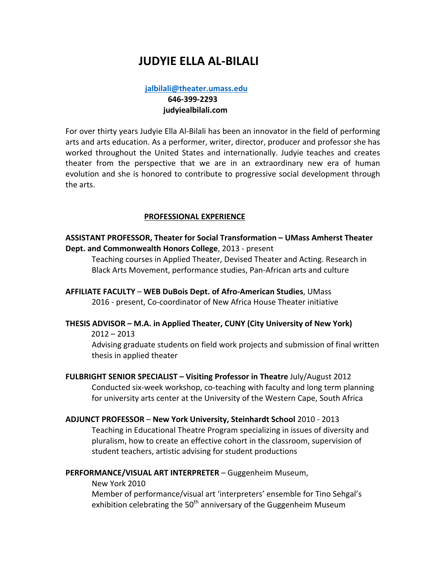# **IUDYIF FLLA AL-BILALI**

# $i$ albilali@theater.umass.edu  **646-399-2293 iudyiealbilali.com**

For over thirty years Judyie Ella Al-Bilali has been an innovator in the field of performing arts and arts education. As a performer, writer, director, producer and professor she has worked throughout the United States and internationally. Judyie teaches and creates theater from the perspective that we are in an extraordinary new era of human evolution and she is honored to contribute to progressive social development through the arts.

### **PROFESSIONAL EXPERIENCE**

## **ASSISTANT PROFESSOR, Theater for Social Transformation – UMass Amherst Theater Dept. and Commonwealth Honors College**, 2013 - present

Teaching courses in Applied Theater, Devised Theater and Acting. Research in Black Arts Movement, performance studies, Pan-African arts and culture

#### **AFFILIATE FACULTY – WEB DuBois Dept. of Afro-American Studies**, UMass 2016 - present, Co-coordinator of New Africa House Theater initiative

### **THESIS ADVISOR – M.A. in Applied Theater, CUNY (City University of New York)**

 $2012 - 2013$ 

Advising graduate students on field work projects and submission of final written thesis in applied theater

**FULBRIGHT SENIOR SPECIALIST - Visiting Professor in Theatre July/August 2012** Conducted six-week workshop, co-teaching with faculty and long term planning for university arts center at the University of the Western Cape, South Africa

# **ADJUNCT PROFESSOR** – **New York University, Steinhardt School** 2010 - 2013 Teaching in Educational Theatre Program specializing in issues of diversity and pluralism, how to create an effective cohort in the classroom, supervision of student teachers, artistic advising for student productions

### PERFORMANCE/VISUAL ART INTERPRETER - Guggenheim Museum,

New York 2010

Member of performance/visual art 'interpreters' ensemble for Tino Sehgal's exhibition celebrating the  $50<sup>th</sup>$  anniversary of the Guggenheim Museum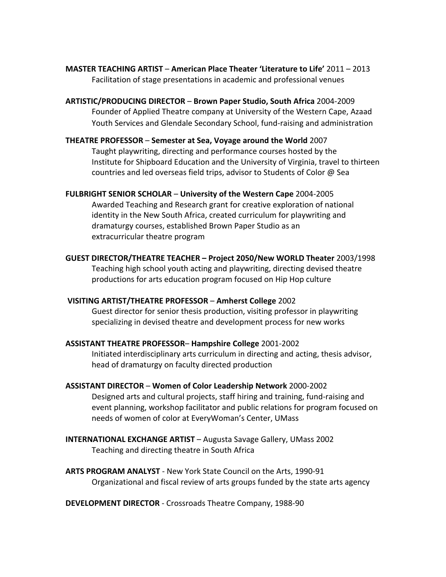**MASTER TEACHING ARTIST – American Place Theater 'Literature to Life' 2011 – 2013** Facilitation of stage presentations in academic and professional venues

**ARTISTIC/PRODUCING DIRECTOR** – **Brown Paper Studio, South Africa** 2004-2009 Founder of Applied Theatre company at University of the Western Cape, Azaad Youth Services and Glendale Secondary School, fund-raising and administration

#### **THEATRE PROFESSOR** – Semester at Sea, Voyage around the World 2007

Taught playwriting, directing and performance courses hosted by the Institute for Shipboard Education and the University of Virginia, travel to thirteen countries and led overseas field trips, advisor to Students of Color @ Sea

**FULBRIGHT SENIOR SCHOLAR – University of the Western Cape 2004-2005** Awarded Teaching and Research grant for creative exploration of national identity in the New South Africa, created curriculum for playwriting and dramaturgy courses, established Brown Paper Studio as an extracurricular theatre program

**GUEST DIRECTOR/THEATRE TEACHER – Project 2050/New WORLD Theater** 2003/1998 Teaching high school youth acting and playwriting, directing devised theatre productions for arts education program focused on Hip Hop culture

### **VISITING ARTIST/THEATRE PROFESSOR** – **Amherst College** 2002

Guest director for senior thesis production, visiting professor in playwriting specializing in devised theatre and development process for new works

### **ASSISTANT THEATRE PROFESSOR– Hampshire College** 2001-2002

Initiated interdisciplinary arts curriculum in directing and acting, thesis advisor, head of dramaturgy on faculty directed production

- **ASSISTANT DIRECTOR Women of Color Leadership Network** 2000-2002 Designed arts and cultural projects, staff hiring and training, fund-raising and event planning, workshop facilitator and public relations for program focused on needs of women of color at EveryWoman's Center, UMass
- **INTERNATIONAL EXCHANGE ARTIST** Augusta Savage Gallery, UMass 2002 Teaching and directing theatre in South Africa
- **ARTS PROGRAM ANALYST** New York State Council on the Arts, 1990-91 Organizational and fiscal review of arts groups funded by the state arts agency

**DEVELOPMENT DIRECTOR** - Crossroads Theatre Company, 1988-90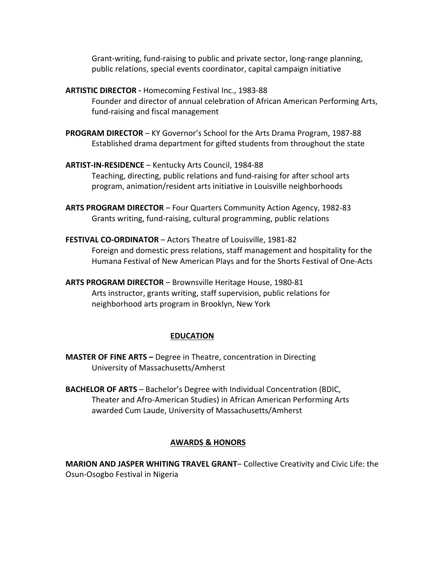Grant-writing, fund-raising to public and private sector, long-range planning, public relations, special events coordinator, capital campaign initiative

- **ARTISTIC DIRECTOR** Homecoming Festival Inc., 1983-88 Founder and director of annual celebration of African American Performing Arts, fund-raising and fiscal management
- **PROGRAM DIRECTOR** KY Governor's School for the Arts Drama Program, 1987-88 Established drama department for gifted students from throughout the state
- ARTIST-IN-RESIDENCE Kentucky Arts Council, 1984-88 Teaching, directing, public relations and fund-raising for after school arts program, animation/resident arts initiative in Louisville neighborhoods
- ARTS PROGRAM DIRECTOR Four Quarters Community Action Agency, 1982-83 Grants writing, fund-raising, cultural programming, public relations
- **FESTIVAL CO-ORDINATOR** Actors Theatre of Louisville, 1981-82 Foreign and domestic press relations, staff management and hospitality for the Humana Festival of New American Plays and for the Shorts Festival of One-Acts
- **ARTS PROGRAM DIRECTOR** Brownsville Heritage House, 1980-81 Arts instructor, grants writing, staff supervision, public relations for neighborhood arts program in Brooklyn, New York

### **EDUCATION**

- **MASTER OF FINE ARTS –** Degree in Theatre, concentration in Directing University of Massachusetts/Amherst
- **BACHELOR OF ARTS** Bachelor's Degree with Individual Concentration (BDIC, Theater and Afro-American Studies) in African American Performing Arts awarded Cum Laude, University of Massachusetts/Amherst

# **AWARDS & HONORS**

**MARION AND JASPER WHITING TRAVEL GRANT**– Collective Creativity and Civic Life: the Osun-Osogbo Festival in Nigeria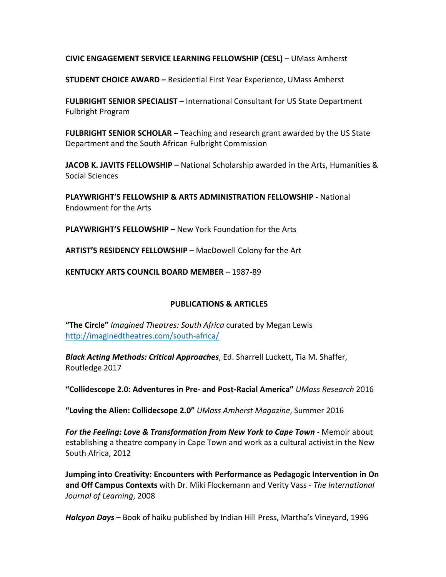## **CIVIC ENGAGEMENT SERVICE LEARNING FELLOWSHIP (CESL)** – UMass Amherst

**STUDENT CHOICE AWARD - Residential First Year Experience, UMass Amherst** 

**FULBRIGHT SENIOR SPECIALIST** – International Consultant for US State Department Fulbright Program

**FULBRIGHT SENIOR SCHOLAR** – Teaching and research grant awarded by the US State Department and the South African Fulbright Commission

**JACOB K. JAVITS FELLOWSHIP** – National Scholarship awarded in the Arts, Humanities & Social Sciences

**PLAYWRIGHT'S FELLOWSHIP & ARTS ADMINISTRATION FELLOWSHIP - National** Endowment for the Arts

**PLAYWRIGHT'S FELLOWSHIP** – New York Foundation for the Arts

**ARTIST'S RESIDENCY FELLOWSHIP** – MacDowell Colony for the Art

**KENTUCKY ARTS COUNCIL BOARD MEMBER - 1987-89** 

### **PUBLICATIONS & ARTICLES**

"The Circle" *Imagined Theatres: South Africa* curated by Megan Lewis http://imaginedtheatres.com/south-africa/

**Black Acting Methods: Critical Approaches**, Ed. Sharrell Luckett, Tia M. Shaffer, Routledge 2017

**"Collidescope 2.0: Adventures in Pre- and Post-Racial America"** *UMass Research* 2016

"Loving the Alien: Collidecsope 2.0" *UMass Amherst Magazine*, Summer 2016

For the Feeling: Love & Transformation from New York to Cape Town - Memoir about establishing a theatre company in Cape Town and work as a cultural activist in the New South Africa, 2012

**Jumping into Creativity: Encounters with Performance as Pedagogic Intervention in On and Off Campus Contexts** with Dr. Miki Flockemann and Verity Vass - The International *Journal of Learning*, 2008

**Halcyon Days** – Book of haiku published by Indian Hill Press, Martha's Vineyard, 1996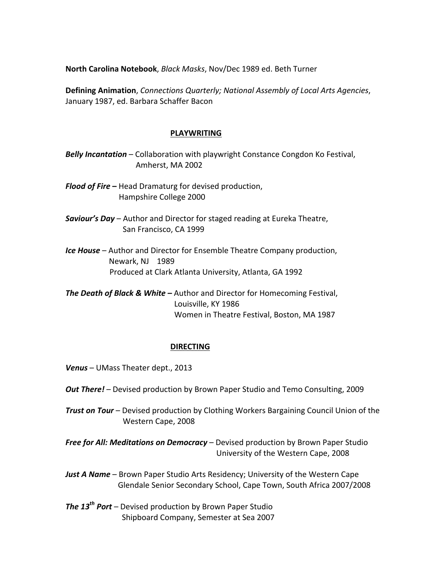**North Carolina Notebook**, *Black Masks*, Nov/Dec 1989 ed. Beth Turner

**Defining Animation**, *Connections Quarterly;* National Assembly of Local Arts Agencies, January 1987, ed. Barbara Schaffer Bacon

#### **PLAYWRITING**

- **Belly Incantation** Collaboration with playwright Constance Congdon Ko Festival, Amherst, MA 2002
- **Flood of Fire** Head Dramaturg for devised production, Hampshire College 2000
- **Saviour's Day** Author and Director for staged reading at Eureka Theatre, San Francisco, CA 1999
- **Ice House** Author and Director for Ensemble Theatre Company production, Newark, NJ 1989 Produced at Clark Atlanta University, Atlanta, GA 1992

**The Death of Black & White** – Author and Director for Homecoming Festival, Louisville, KY 1986 Women in Theatre Festival, Boston, MA 1987

### **DIRECTING**

- Venus UMass Theater dept., 2013
- **Out There!** Devised production by Brown Paper Studio and Temo Consulting, 2009
- *Trust on Tour* Devised production by Clothing Workers Bargaining Council Union of the Western Cape, 2008

**Free for All: Meditations on Democracy** – Devised production by Brown Paper Studio University of the Western Cape, 2008

- *Just A Name* Brown Paper Studio Arts Residency; University of the Western Cape Glendale Senior Secondary School, Cape Town, South Africa 2007/2008
- *The 13<sup>th</sup> Port* Devised production by Brown Paper Studio Shipboard Company, Semester at Sea 2007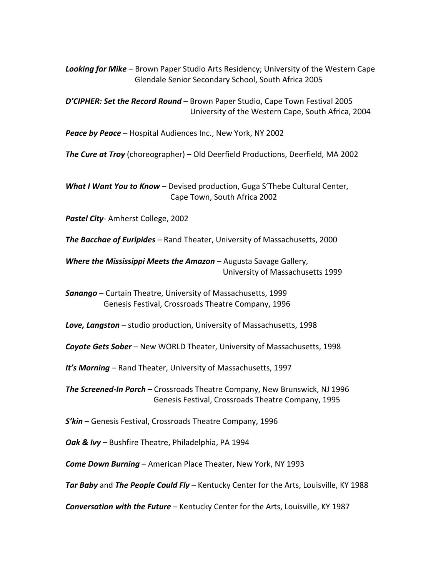**Looking for Mike** – Brown Paper Studio Arts Residency; University of the Western Cape Glendale Senior Secondary School, South Africa 2005

D'CIPHER: Set the Record Round – Brown Paper Studio, Cape Town Festival 2005 University of the Western Cape, South Africa, 2004

**Peace by Peace** – Hospital Audiences Inc., New York, NY 2002

**The Cure at Troy** (choreographer) - Old Deerfield Productions, Deerfield, MA 2002

**What I Want You to Know** – Devised production, Guga S'Thebe Cultural Center, Cape Town, South Africa 2002

**Pastel City-Amherst College, 2002** 

**The Bacchae of Euripides** – Rand Theater, University of Massachusetts, 2000

**Where the Mississippi Meets the Amazon** – Augusta Savage Gallery, University of Massachusetts 1999

**Sanango** – Curtain Theatre, University of Massachusetts, 1999 Genesis Festival, Crossroads Theatre Company, 1996

**Love, Langston** – studio production, University of Massachusetts, 1998

**Coyote Gets Sober** – New WORLD Theater, University of Massachusetts, 1998

**It's Morning** – Rand Theater, University of Massachusetts, 1997

**The Screened-In Porch** – Crossroads Theatre Company, New Brunswick, NJ 1996 Genesis Festival, Crossroads Theatre Company, 1995

**S'kin** – Genesis Festival, Crossroads Theatre Company, 1996

**Oak & Ivy** – Bushfire Theatre, Philadelphia, PA 1994

**Come Down Burning** – American Place Theater, New York, NY 1993

**Tar Baby** and **The People Could Fly** – Kentucky Center for the Arts, Louisville, KY 1988

**Conversation with the Future** – Kentucky Center for the Arts, Louisville, KY 1987